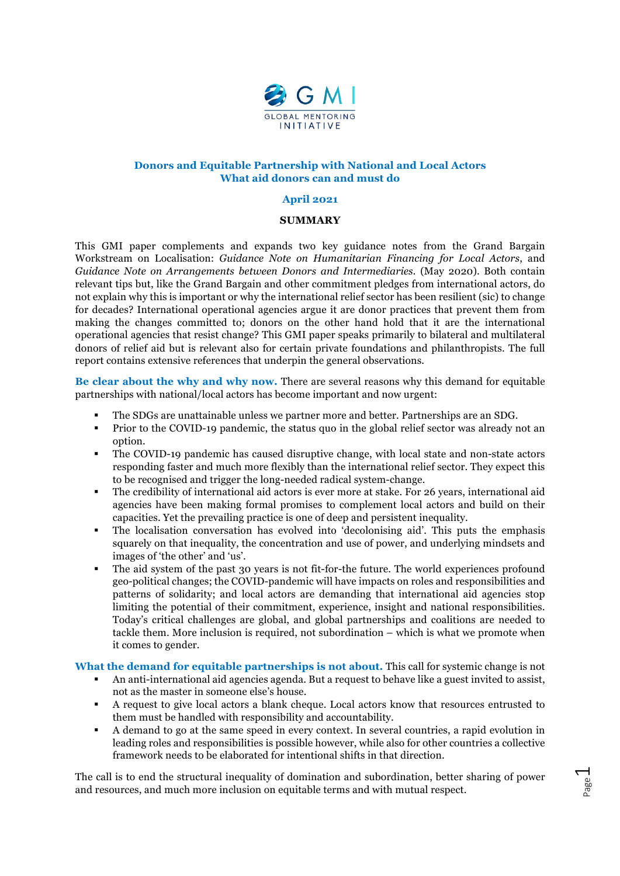

### **Donors and Equitable Partnership with National and Local Actors What aid donors can and must do**

### **April 2021**

### **SUMMARY**

This GMI paper complements and expands two key guidance notes from the Grand Bargain Workstream on Localisation: *Guidance Note on Humanitarian Financing for Local Actors*, and *Guidance Note on Arrangements between Donors and Intermediaries.* (May 2020). Both contain relevant tips but, like the Grand Bargain and other commitment pledges from international actors, do not explain why this is important or why the international relief sector has been resilient (sic) to change for decades? International operational agencies argue it are donor practices that prevent them from making the changes committed to; donors on the other hand hold that it are the international operational agencies that resist change? This GMI paper speaks primarily to bilateral and multilateral donors of relief aid but is relevant also for certain private foundations and philanthropists. The full report contains extensive references that underpin the general observations.

**Be clear about the why and why now.** There are several reasons why this demand for equitable partnerships with national/local actors has become important and now urgent:

- § The SDGs are unattainable unless we partner more and better. Partnerships are an SDG.
- Prior to the COVID-19 pandemic, the status quo in the global relief sector was already not an option.
- § The COVID-19 pandemic has caused disruptive change, with local state and non-state actors responding faster and much more flexibly than the international relief sector. They expect this to be recognised and trigger the long-needed radical system-change.
- § The credibility of international aid actors is ever more at stake. For 26 years, international aid agencies have been making formal promises to complement local actors and build on their capacities. Yet the prevailing practice is one of deep and persistent inequality.
- The localisation conversation has evolved into 'decolonising aid'. This puts the emphasis squarely on that inequality, the concentration and use of power, and underlying mindsets and images of 'the other' and 'us'.
- The aid system of the past 30 years is not fit-for-the future. The world experiences profound geo-political changes; the COVID-pandemic will have impacts on roles and responsibilities and patterns of solidarity; and local actors are demanding that international aid agencies stop limiting the potential of their commitment, experience, insight and national responsibilities. Today's critical challenges are global, and global partnerships and coalitions are needed to tackle them. More inclusion is required, not subordination – which is what we promote when it comes to gender.

# **What the demand for equitable partnerships is not about.** This call for systemic change is not

- § An anti-international aid agencies agenda. But a request to behave like a guest invited to assist, not as the master in someone else's house.
- § A request to give local actors a blank cheque. Local actors know that resources entrusted to them must be handled with responsibility and accountability.
- § A demand to go at the same speed in every context. In several countries, a rapid evolution in leading roles and responsibilities is possible however, while also for other countries a collective framework needs to be elaborated for intentional shifts in that direction.

The call is to end the structural inequality of domination and subordination, better sharing of power and resources, and much more inclusion on equitable terms and with mutual respect.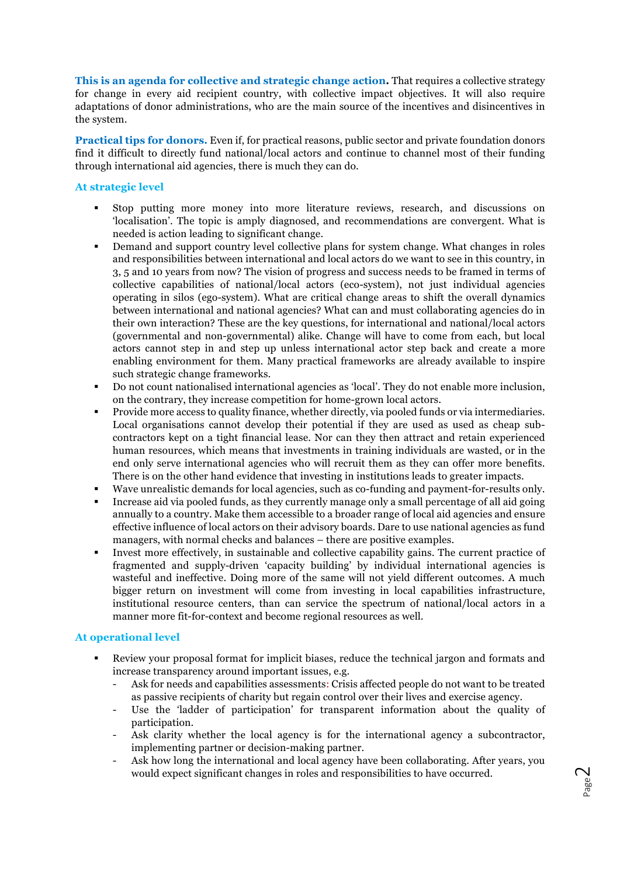**This is an agenda for collective and strategic change action.** That requires a collective strategy for change in every aid recipient country, with collective impact objectives. It will also require adaptations of donor administrations, who are the main source of the incentives and disincentives in the system.

**Practical tips for donors.** Even if, for practical reasons, public sector and private foundation donors find it difficult to directly fund national/local actors and continue to channel most of their funding through international aid agencies, there is much they can do.

# **At strategic level**

- § Stop putting more money into more literature reviews, research, and discussions on 'localisation'. The topic is amply diagnosed, and recommendations are convergent. What is needed is action leading to significant change.
- Demand and support country level collective plans for system change. What changes in roles and responsibilities between international and local actors do we want to see in this country, in 3, 5 and 10 years from now? The vision of progress and success needs to be framed in terms of collective capabilities of national/local actors (eco-system), not just individual agencies operating in silos (ego-system). What are critical change areas to shift the overall dynamics between international and national agencies? What can and must collaborating agencies do in their own interaction? These are the key questions, for international and national/local actors (governmental and non-governmental) alike. Change will have to come from each, but local actors cannot step in and step up unless international actor step back and create a more enabling environment for them. Many practical frameworks are already available to inspire such strategic change frameworks.
- § Do not count nationalised international agencies as 'local'. They do not enable more inclusion, on the contrary, they increase competition for home-grown local actors.
- § Provide more access to quality finance, whether directly, via pooled funds or via intermediaries. Local organisations cannot develop their potential if they are used as used as cheap subcontractors kept on a tight financial lease. Nor can they then attract and retain experienced human resources, which means that investments in training individuals are wasted, or in the end only serve international agencies who will recruit them as they can offer more benefits. There is on the other hand evidence that investing in institutions leads to greater impacts.
- § Wave unrealistic demands for local agencies, such as co-funding and payment-for-results only.
- § Increase aid via pooled funds, as they currently manage only a small percentage of all aid going annually to a country. Make them accessible to a broader range of local aid agencies and ensure effective influence of local actors on their advisory boards. Dare to use national agencies as fund managers, with normal checks and balances – there are positive examples.
- Invest more effectively, in sustainable and collective capability gains. The current practice of fragmented and supply-driven 'capacity building' by individual international agencies is wasteful and ineffective. Doing more of the same will not yield different outcomes. A much bigger return on investment will come from investing in local capabilities infrastructure, institutional resource centers, than can service the spectrum of national/local actors in a manner more fit-for-context and become regional resources as well.

# **At operational level**

- Review your proposal format for implicit biases, reduce the technical jargon and formats and increase transparency around important issues, e.g.
	- Ask for needs and capabilities assessments: Crisis affected people do not want to be treated as passive recipients of charity but regain control over their lives and exercise agency.
	- Use the 'ladder of participation' for transparent information about the quality of participation.
	- Ask clarity whether the local agency is for the international agency a subcontractor, implementing partner or decision-making partner.
	- Ask how long the international and local agency have been collaborating. After years, you would expect significant changes in roles and responsibilities to have occurred.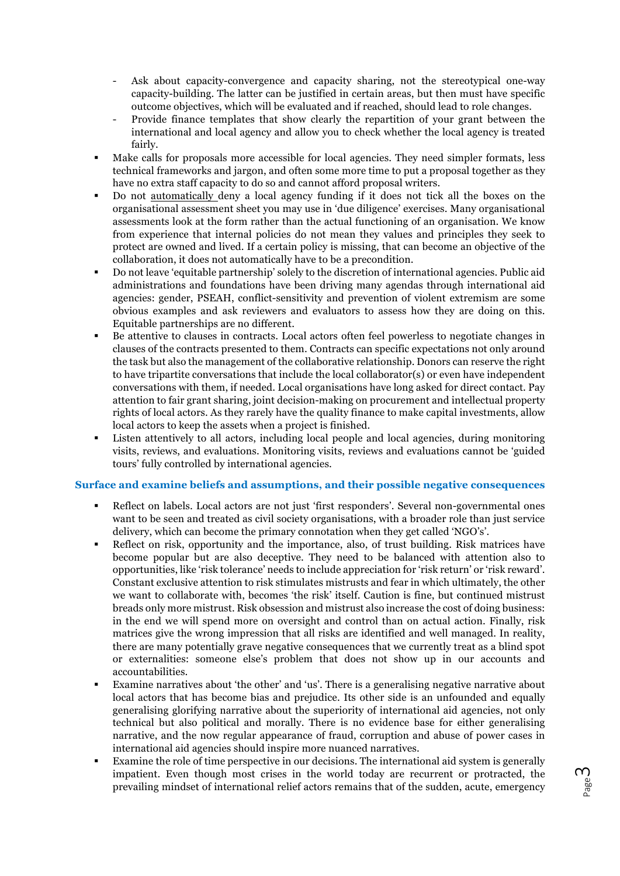- Ask about capacity-convergence and capacity sharing, not the stereotypical one-way capacity-building. The latter can be justified in certain areas, but then must have specific outcome objectives, which will be evaluated and if reached, should lead to role changes.
- Provide finance templates that show clearly the repartition of your grant between the international and local agency and allow you to check whether the local agency is treated fairly.
- Make calls for proposals more accessible for local agencies. They need simpler formats, less technical frameworks and jargon, and often some more time to put a proposal together as they have no extra staff capacity to do so and cannot afford proposal writers.
- § Do not automatically deny a local agency funding if it does not tick all the boxes on the organisational assessment sheet you may use in 'due diligence' exercises. Many organisational assessments look at the form rather than the actual functioning of an organisation. We know from experience that internal policies do not mean they values and principles they seek to protect are owned and lived. If a certain policy is missing, that can become an objective of the collaboration, it does not automatically have to be a precondition.
- § Do not leave 'equitable partnership' solely to the discretion of international agencies. Public aid administrations and foundations have been driving many agendas through international aid agencies: gender, PSEAH, conflict-sensitivity and prevention of violent extremism are some obvious examples and ask reviewers and evaluators to assess how they are doing on this. Equitable partnerships are no different.
- § Be attentive to clauses in contracts. Local actors often feel powerless to negotiate changes in clauses of the contracts presented to them. Contracts can specific expectations not only around the task but also the management of the collaborative relationship. Donors can reserve the right to have tripartite conversations that include the local collaborator(s) or even have independent conversations with them, if needed. Local organisations have long asked for direct contact. Pay attention to fair grant sharing, joint decision-making on procurement and intellectual property rights of local actors. As they rarely have the quality finance to make capital investments, allow local actors to keep the assets when a project is finished.
- Listen attentively to all actors, including local people and local agencies, during monitoring visits, reviews, and evaluations. Monitoring visits, reviews and evaluations cannot be 'guided tours' fully controlled by international agencies.

# **Surface and examine beliefs and assumptions, and their possible negative consequences**

- § Reflect on labels. Local actors are not just 'first responders'. Several non-governmental ones want to be seen and treated as civil society organisations, with a broader role than just service delivery, which can become the primary connotation when they get called 'NGO's'.
- Reflect on risk, opportunity and the importance, also, of trust building. Risk matrices have become popular but are also deceptive. They need to be balanced with attention also to opportunities, like 'risk tolerance' needs to include appreciation for 'risk return' or 'risk reward'. Constant exclusive attention to risk stimulates mistrusts and fear in which ultimately, the other we want to collaborate with, becomes 'the risk' itself. Caution is fine, but continued mistrust breads only more mistrust. Risk obsession and mistrust also increase the cost of doing business: in the end we will spend more on oversight and control than on actual action. Finally, risk matrices give the wrong impression that all risks are identified and well managed. In reality, there are many potentially grave negative consequences that we currently treat as a blind spot or externalities: someone else's problem that does not show up in our accounts and accountabilities.
- § Examine narratives about 'the other' and 'us'. There is a generalising negative narrative about local actors that has become bias and prejudice. Its other side is an unfounded and equally generalising glorifying narrative about the superiority of international aid agencies, not only technical but also political and morally. There is no evidence base for either generalising narrative, and the now regular appearance of fraud, corruption and abuse of power cases in international aid agencies should inspire more nuanced narratives.
- § Examine the role of time perspective in our decisions. The international aid system is generally impatient. Even though most crises in the world today are recurrent or protracted, the prevailing mindset of international relief actors remains that of the sudden, acute, emergency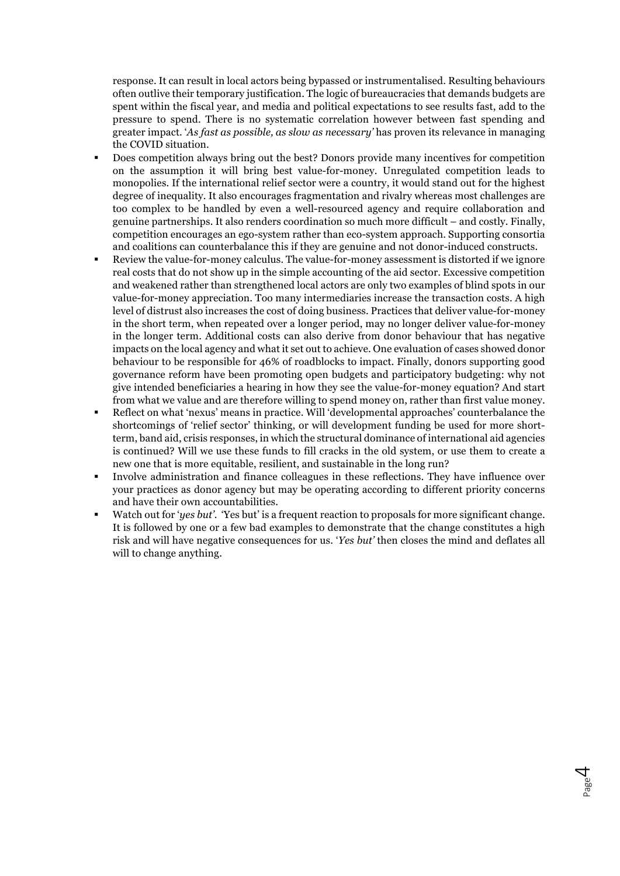response. It can result in local actors being bypassed or instrumentalised. Resulting behaviours often outlive their temporary justification. The logic of bureaucracies that demands budgets are spent within the fiscal year, and media and political expectations to see results fast, add to the pressure to spend. There is no systematic correlation however between fast spending and greater impact. '*As fast as possible, as slow as necessary'* has proven its relevance in managing the COVID situation.

- § Does competition always bring out the best? Donors provide many incentives for competition on the assumption it will bring best value-for-money. Unregulated competition leads to monopolies. If the international relief sector were a country, it would stand out for the highest degree of inequality. It also encourages fragmentation and rivalry whereas most challenges are too complex to be handled by even a well-resourced agency and require collaboration and genuine partnerships. It also renders coordination so much more difficult – and costly. Finally, competition encourages an ego-system rather than eco-system approach. Supporting consortia and coalitions can counterbalance this if they are genuine and not donor-induced constructs.
- § Review the value-for-money calculus. The value-for-money assessment is distorted if we ignore real costs that do not show up in the simple accounting of the aid sector. Excessive competition and weakened rather than strengthened local actors are only two examples of blind spots in our value-for-money appreciation. Too many intermediaries increase the transaction costs. A high level of distrust also increases the cost of doing business. Practices that deliver value-for-money in the short term, when repeated over a longer period, may no longer deliver value-for-money in the longer term. Additional costs can also derive from donor behaviour that has negative impacts on the local agency and what it set out to achieve. One evaluation of cases showed donor behaviour to be responsible for 46% of roadblocks to impact. Finally, donors supporting good governance reform have been promoting open budgets and participatory budgeting: why not give intended beneficiaries a hearing in how they see the value-for-money equation? And start from what we value and are therefore willing to spend money on, rather than first value money.
- § Reflect on what 'nexus' means in practice. Will 'developmental approaches' counterbalance the shortcomings of 'relief sector' thinking, or will development funding be used for more shortterm, band aid, crisis responses, in which the structural dominance of international aid agencies is continued? Will we use these funds to fill cracks in the old system, or use them to create a new one that is more equitable, resilient, and sustainable in the long run?
- Involve administration and finance colleagues in these reflections. They have influence over your practices as donor agency but may be operating according to different priority concerns and have their own accountabilities.
- § Watch out for '*yes but'*. 'Yes but' is a frequent reaction to proposals for more significant change. It is followed by one or a few bad examples to demonstrate that the change constitutes a high risk and will have negative consequences for us. '*Yes but'* then closes the mind and deflates all will to change anything.

Page 4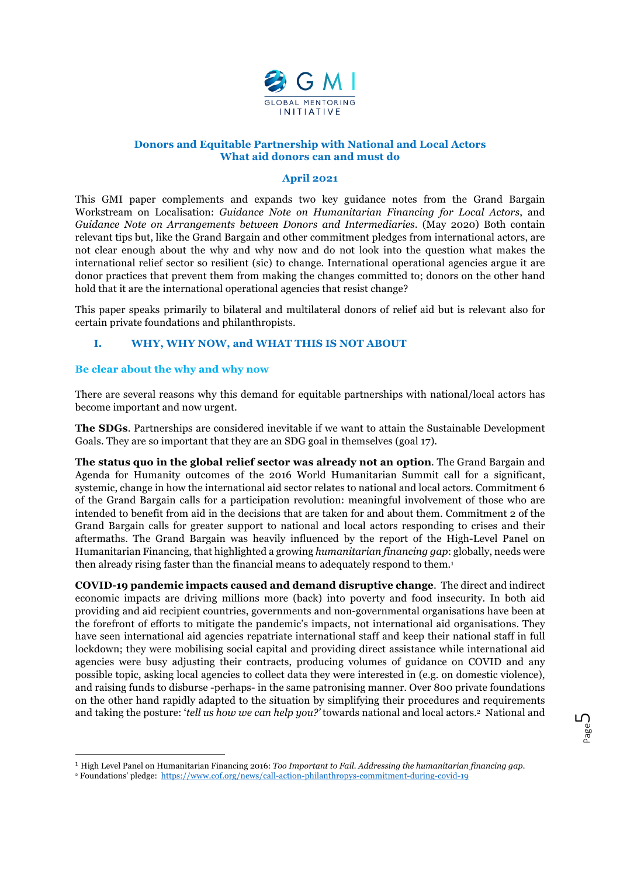

# **Donors and Equitable Partnership with National and Local Actors What aid donors can and must do**

#### **April 2021**

This GMI paper complements and expands two key guidance notes from the Grand Bargain Workstream on Localisation: *Guidance Note on Humanitarian Financing for Local Actors*, and *Guidance Note on Arrangements between Donors and Intermediaries.* (May 2020) Both contain relevant tips but, like the Grand Bargain and other commitment pledges from international actors, are not clear enough about the why and why now and do not look into the question what makes the international relief sector so resilient (sic) to change. International operational agencies argue it are donor practices that prevent them from making the changes committed to; donors on the other hand hold that it are the international operational agencies that resist change?

This paper speaks primarily to bilateral and multilateral donors of relief aid but is relevant also for certain private foundations and philanthropists.

# **I. WHY, WHY NOW, and WHAT THIS IS NOT ABOUT**

### **Be clear about the why and why now**

There are several reasons why this demand for equitable partnerships with national/local actors has become important and now urgent.

**The SDGs**. Partnerships are considered inevitable if we want to attain the Sustainable Development Goals. They are so important that they are an SDG goal in themselves (goal 17).

**The status quo in the global relief sector was already not an option**. The Grand Bargain and Agenda for Humanity outcomes of the 2016 World Humanitarian Summit call for a significant, systemic, change in how the international aid sector relates to national and local actors. Commitment 6 of the Grand Bargain calls for a participation revolution: meaningful involvement of those who are intended to benefit from aid in the decisions that are taken for and about them. Commitment 2 of the Grand Bargain calls for greater support to national and local actors responding to crises and their aftermaths. The Grand Bargain was heavily influenced by the report of the High-Level Panel on Humanitarian Financing, that highlighted a growing *humanitarian financing gap*: globally, needs were then already rising faster than the financial means to adequately respond to them.1

**COVID-19 pandemic impacts caused and demand disruptive change**. The direct and indirect economic impacts are driving millions more (back) into poverty and food insecurity. In both aid providing and aid recipient countries, governments and non-governmental organisations have been at the forefront of efforts to mitigate the pandemic's impacts, not international aid organisations. They have seen international aid agencies repatriate international staff and keep their national staff in full lockdown; they were mobilising social capital and providing direct assistance while international aid agencies were busy adjusting their contracts, producing volumes of guidance on COVID and any possible topic, asking local agencies to collect data they were interested in (e.g. on domestic violence), and raising funds to disburse -perhaps- in the same patronising manner. Over 800 private foundations on the other hand rapidly adapted to the situation by simplifying their procedures and requirements and taking the posture: '*tell us how we can help you?'* towards national and local actors.2 National and

 <sup>1</sup> High Level Panel on Humanitarian Financing 2016: *Too Important to Fail. Addressing the humanitarian financing gap.*

<sup>2</sup> Foundations' pledge: https://www.cof.org/news/call-action-philanthropys-commitment-during-covid-19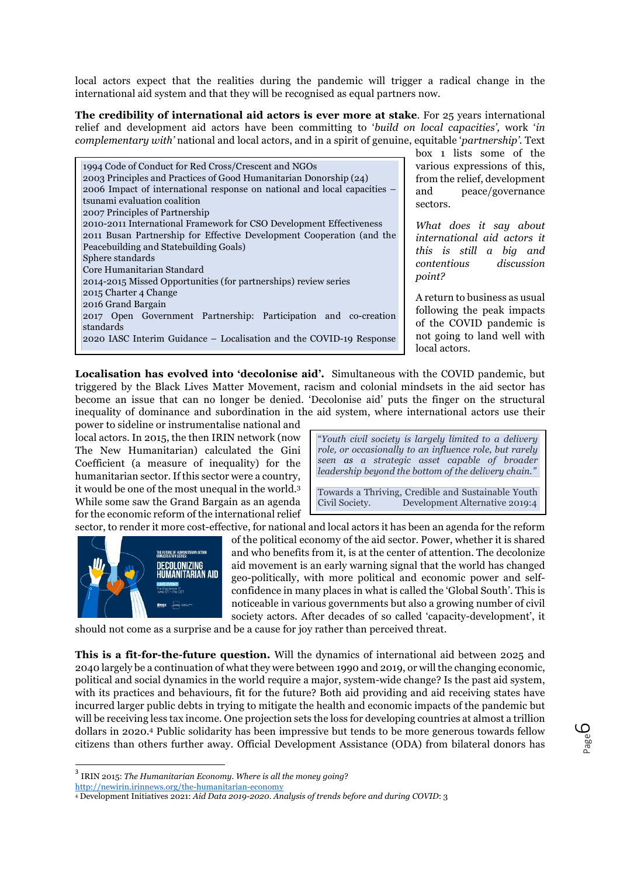local actors expect that the realities during the pandemic will trigger a radical change in the international aid system and that they will be recognised as equal partners now.

**The credibility of international aid actors is ever more at stake***.* For 25 years international relief and development aid actors have been committing to '*build on local capacities'*, work '*in complementary with'* national and local actors, and in a spirit of genuine, equitable '*partnership'*. Text

| 1994 Code of Conduct for Red Cross/Crescent and NGOs                     |
|--------------------------------------------------------------------------|
| 2003 Principles and Practices of Good Humanitarian Donorship (24)        |
| 2006 Impact of international response on national and local capacities – |
| tsunami evaluation coalition                                             |
| 2007 Principles of Partnership                                           |
| 2010-2011 International Framework for CSO Development Effectiveness      |
| 2011 Busan Partnership for Effective Development Cooperation (and the    |
| Peacebuilding and Statebuilding Goals)                                   |
| Sphere standards                                                         |
| Core Humanitarian Standard                                               |
| 2014-2015 Missed Opportunities (for partnerships) review series          |
| 2015 Charter 4 Change                                                    |
| 2016 Grand Bargain                                                       |
| 2017 Open Government Partnership: Participation and co-creation          |
| standards                                                                |
| 2020 IASC Interim Guidance – Localisation and the COVID-19 Response      |
|                                                                          |

box 1 lists some of the various expressions of this, from the relief, development and peace/governance sectors.

*What does it say about international aid actors it this is still a big and contentious discussion point?*

A return to business as usual following the peak impacts of the COVID pandemic is not going to land well with local actors.

**Localisation has evolved into 'decolonise aid'***.* Simultaneous with the COVID pandemic, but triggered by the Black Lives Matter Movement, racism and colonial mindsets in the aid sector has become an issue that can no longer be denied. 'Decolonise aid' puts the finger on the structural inequality of dominance and subordination in the aid system, where international actors use their

power to sideline or instrumentalise national and local actors. In 2015, the then IRIN network (now The New Humanitarian) calculated the Gini Coefficient (a measure of inequality) for the humanitarian sector. If this sector were a country, it would be one of the most unequal in the world.3 While some saw the Grand Bargain as an agenda for the economic reform of the international relief sector, to render it more cost-effective, for national and local actors it has been an agenda for the reform

"*Youth civil society is largely limited to a delivery role, or occasionally to an influence role, but rarely seen as a strategic asset capable of broader leadership beyond the bottom of the delivery chain."*

Towards a Thriving, Credible and Sustainable Youth Civil Society. Development Alternative 2019:4



of the political economy of the aid sector. Power, whether it is shared and who benefits from it, is at the center of attention. The decolonize aid movement is an early warning signal that the world has changed geo-politically, with more political and economic power and selfconfidence in many places in what is called the 'Global South'. This is noticeable in various governments but also a growing number of civil society actors. After decades of so called 'capacity-development', it

should not come as a surprise and be a cause for joy rather than perceived threat.

**This is a fit-for-the-future question.** Will the dynamics of international aid between 2025 and 2040 largely be a continuation of what they were between 1990 and 2019, or will the changing economic, political and social dynamics in the world require a major, system-wide change? Is the past aid system, with its practices and behaviours, fit for the future? Both aid providing and aid receiving states have incurred larger public debts in trying to mitigate the health and economic impacts of the pandemic but will be receiving less tax income. One projection sets the loss for developing countries at almost a trillion dollars in 2020.4 Public solidarity has been impressive but tends to be more generous towards fellow citizens than others further away. Official Development Assistance (ODA) from bilateral donors has

<sup>3</sup> IRIN 2015: *The Humanitarian Economy. Where is all the money going*?

http://newirin.irinnews.org/the-humanitarian-economy

<sup>4</sup> Development Initiatives 2021: *Aid Data 2019-2020. Analysis of trends before and during COVID*: 3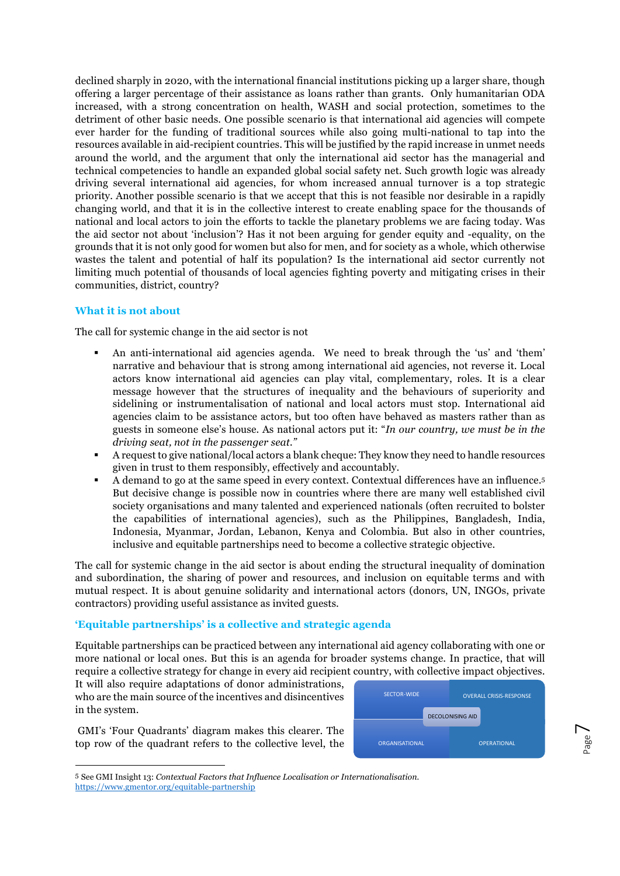declined sharply in 2020, with the international financial institutions picking up a larger share, though offering a larger percentage of their assistance as loans rather than grants. Only humanitarian ODA increased, with a strong concentration on health, WASH and social protection, sometimes to the detriment of other basic needs. One possible scenario is that international aid agencies will compete ever harder for the funding of traditional sources while also going multi-national to tap into the resources available in aid-recipient countries. This will be justified by the rapid increase in unmet needs around the world, and the argument that only the international aid sector has the managerial and technical competencies to handle an expanded global social safety net. Such growth logic was already driving several international aid agencies, for whom increased annual turnover is a top strategic priority. Another possible scenario is that we accept that this is not feasible nor desirable in a rapidly changing world, and that it is in the collective interest to create enabling space for the thousands of national and local actors to join the efforts to tackle the planetary problems we are facing today. Was the aid sector not about 'inclusion'? Has it not been arguing for gender equity and -equality, on the grounds that it is not only good for women but also for men, and for society as a whole, which otherwise wastes the talent and potential of half its population? Is the international aid sector currently not limiting much potential of thousands of local agencies fighting poverty and mitigating crises in their communities, district, country?

# **What it is not about**

The call for systemic change in the aid sector is not

- An anti-international aid agencies agenda. We need to break through the 'us' and 'them' narrative and behaviour that is strong among international aid agencies, not reverse it. Local actors know international aid agencies can play vital, complementary, roles. It is a clear message however that the structures of inequality and the behaviours of superiority and sidelining or instrumentalisation of national and local actors must stop. International aid agencies claim to be assistance actors, but too often have behaved as masters rather than as guests in someone else's house. As national actors put it: "*In our country, we must be in the driving seat, not in the passenger seat."*
- § A request to give national/local actors a blank cheque: They know they need to handle resources given in trust to them responsibly, effectively and accountably.
- § A demand to go at the same speed in every context. Contextual differences have an influence.5 But decisive change is possible now in countries where there are many well established civil society organisations and many talented and experienced nationals (often recruited to bolster the capabilities of international agencies), such as the Philippines, Bangladesh, India, Indonesia, Myanmar, Jordan, Lebanon, Kenya and Colombia. But also in other countries, inclusive and equitable partnerships need to become a collective strategic objective.

The call for systemic change in the aid sector is about ending the structural inequality of domination and subordination, the sharing of power and resources, and inclusion on equitable terms and with mutual respect. It is about genuine solidarity and international actors (donors, UN, INGOs, private contractors) providing useful assistance as invited guests.

# **'Equitable partnerships' is a collective and strategic agenda**

Equitable partnerships can be practiced between any international aid agency collaborating with one or more national or local ones. But this is an agenda for broader systems change. In practice, that will require a collective strategy for change in every aid recipient country, with collective impact objectives.

It will also require adaptations of donor administrations, who are the main source of the incentives and disincentives in the system.

GMI's 'Four Quadrants' diagram makes this clearer. The top row of the quadrant refers to the collective level, the



 <sup>5</sup> See GMI Insight 13: *Contextual Factors that Influence Localisation or Internationalisation.* https://www.gmentor.org/equitable-partnership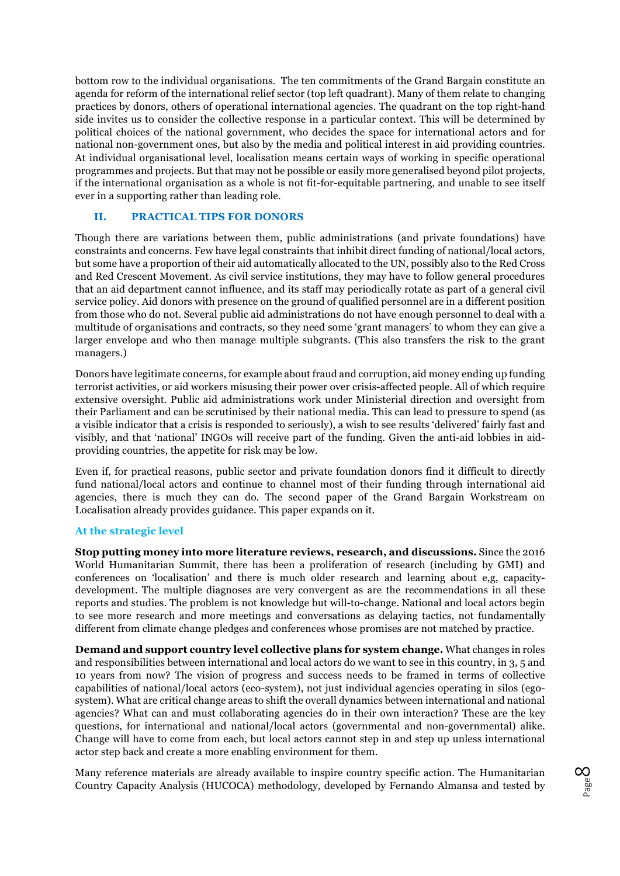bottom row to the individual organisations. The ten commitments of the Grand Bargain constitute an agenda for reform of the international relief sector (top left quadrant). Many of them relate to changing practices by donors, others of operational international agencies. The quadrant on the top right-hand side invites us to consider the collective response in a particular context. This will be determined by political choices of the national government, who decides the space for international actors and for national non-government ones, but also by the media and political interest in aid providing countries. At individual organisational level, localisation means certain ways of working in specific operational programmes and projects. But that may not be possible or easily more generalised beyond pilot projects, if the international organisation as a whole is not fit-for-equitable partnering, and unable to see itself ever in a supporting rather than leading role.

# **II. PRACTICAL TIPS FOR DONORS**

Though there are variations between them, public administrations (and private foundations) have constraints and concerns. Few have legal constraints that inhibit direct funding of national/local actors, but some have a proportion of their aid automatically allocated to the UN, possibly also to the Red Cross and Red Crescent Movement. As civil service institutions, they may have to follow general procedures that an aid department cannot influence, and its staff may periodically rotate as part of a general civil service policy. Aid donors with presence on the ground of qualified personnel are in a different position from those who do not. Several public aid administrations do not have enough personnel to deal with a multitude of organisations and contracts, so they need some 'grant managers' to whom they can give a larger envelope and who then manage multiple subgrants. (This also transfers the risk to the grant managers.)

Donors have legitimate concerns, for example about fraud and corruption, aid money ending up funding terrorist activities, or aid workers misusing their power over crisis-affected people. All of which require extensive oversight. Public aid administrations work under Ministerial direction and oversight from their Parliament and can be scrutinised by their national media. This can lead to pressure to spend (as a visible indicator that a crisis is responded to seriously), a wish to see results 'delivered' fairly fast and visibly, and that 'national' INGOs will receive part of the funding. Given the anti-aid lobbies in aidproviding countries, the appetite for risk may be low.

Even if, for practical reasons, public sector and private foundation donors find it difficult to directly fund national/local actors and continue to channel most of their funding through international aid agencies, there is much they can do. The second paper of the Grand Bargain Workstream on Localisation already provides guidance. This paper expands on it.

### **At the strategic level**

**Stop putting money into more literature reviews, research, and discussions.** Since the 2016 World Humanitarian Summit, there has been a proliferation of research (including by GMI) and conferences on 'localisation' and there is much older research and learning about e,g, capacitydevelopment. The multiple diagnoses are very convergent as are the recommendations in all these reports and studies. The problem is not knowledge but will-to-change. National and local actors begin to see more research and more meetings and conversations as delaying tactics, not fundamentally different from climate change pledges and conferences whose promises are not matched by practice.

**Demand and support country level collective plans for system change.** What changes in roles and responsibilities between international and local actors do we want to see in this country, in 3, 5 and 10 years from now? The vision of progress and success needs to be framed in terms of collective capabilities of national/local actors (eco-system), not just individual agencies operating in silos (egosystem). What are critical change areas to shift the overall dynamics between international and national agencies? What can and must collaborating agencies do in their own interaction? These are the key questions, for international and national/local actors (governmental and non-governmental) alike. Change will have to come from each, but local actors cannot step in and step up unless international actor step back and create a more enabling environment for them.

Many reference materials are already available to inspire country specific action. The Humanitarian Country Capacity Analysis (HUCOCA) methodology, developed by Fernando Almansa and tested by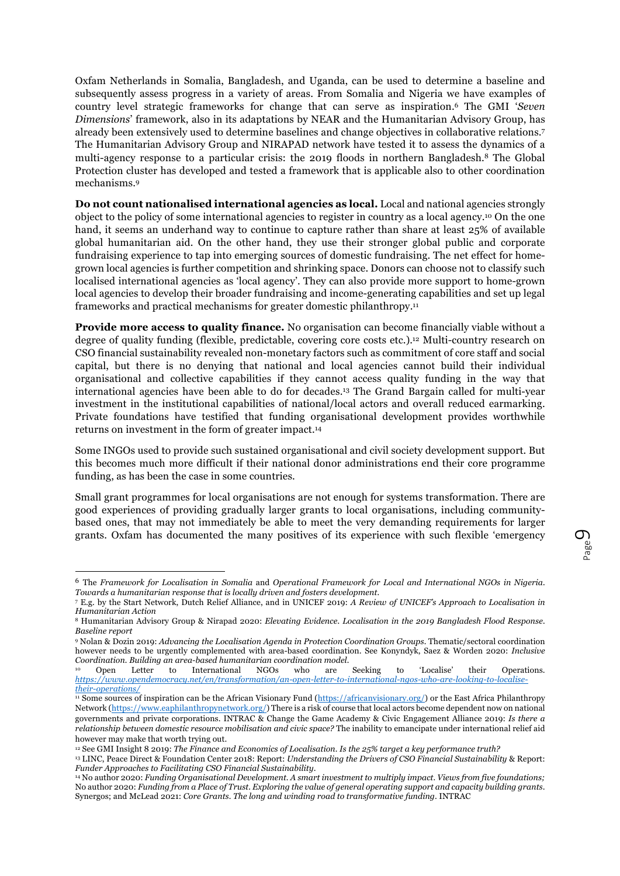Oxfam Netherlands in Somalia, Bangladesh, and Uganda, can be used to determine a baseline and subsequently assess progress in a variety of areas. From Somalia and Nigeria we have examples of country level strategic frameworks for change that can serve as inspiration.6 The GMI '*Seven Dimensions*' framework, also in its adaptations by NEAR and the Humanitarian Advisory Group, has already been extensively used to determine baselines and change objectives in collaborative relations.7 The Humanitarian Advisory Group and NIRAPAD network have tested it to assess the dynamics of a multi-agency response to a particular crisis: the 2019 floods in northern Bangladesh.8 The Global Protection cluster has developed and tested a framework that is applicable also to other coordination mechanisms.9

**Do not count nationalised international agencies as local.** Local and national agencies strongly object to the policy of some international agencies to register in country as a local agency.10 On the one hand, it seems an underhand way to continue to capture rather than share at least 25% of available global humanitarian aid. On the other hand, they use their stronger global public and corporate fundraising experience to tap into emerging sources of domestic fundraising. The net effect for homegrown local agencies is further competition and shrinking space. Donors can choose not to classify such localised international agencies as 'local agency'. They can also provide more support to home-grown local agencies to develop their broader fundraising and income-generating capabilities and set up legal frameworks and practical mechanisms for greater domestic philanthropy.11

**Provide more access to quality finance.** No organisation can become financially viable without a degree of quality funding (flexible, predictable, covering core costs etc.).12 Multi-country research on CSO financial sustainability revealed non-monetary factors such as commitment of core staff and social capital, but there is no denying that national and local agencies cannot build their individual organisational and collective capabilities if they cannot access quality funding in the way that international agencies have been able to do for decades.13 The Grand Bargain called for multi-year investment in the institutional capabilities of national/local actors and overall reduced earmarking. Private foundations have testified that funding organisational development provides worthwhile returns on investment in the form of greater impact.14

Some INGOs used to provide such sustained organisational and civil society development support. But this becomes much more difficult if their national donor administrations end their core programme funding, as has been the case in some countries.

Small grant programmes for local organisations are not enough for systems transformation. There are good experiences of providing gradually larger grants to local organisations, including communitybased ones, that may not immediately be able to meet the very demanding requirements for larger grants. Oxfam has documented the many positives of its experience with such flexible 'emergency

 <sup>6</sup> The *Framework for Localisation in Somalia* and *Operational Framework for Local and International NGOs in Nigeria. Towards a humanitarian response that is locally driven and fosters development.* 

<sup>7</sup> E.g. by the Start Network, Dutch Relief Alliance, and in UNICEF 2019: *A Review of UNICEF's Approach to Localisation in Humanitarian Action*

<sup>8</sup> Humanitarian Advisory Group & Nirapad 2020: *Elevating Evidence. Localisation in the 2019 Bangladesh Flood Response. Baseline report*

<sup>9</sup> Nolan & Dozin 2019: *Advancing the Localisation Agenda in Protection Coordination Groups.* Thematic/sectoral coordination however needs to be urgently complemented with area-based coordination. See Konyndyk, Saez & Worden 2020: *Inclusive Coordination. Building an area-based humanitarian coordination model.* 

<sup>10</sup> Open Letter to International NGOs who are Seeking to 'Localise' their Operations. *https://www.opendemocracy.net/en/transformation/an-open-letter-to-international-ngos-who-are-looking-to-localisetheir-operations/* 

<sup>11</sup> Some sources of inspiration can be the African Visionary Fund (https://africanvisionary.org/) or the East Africa Philanthropy Network (https://www.eaphilanthropynetwork.org/) There is a risk of course that local actors become dependent now on national governments and private corporations. INTRAC & Change the Game Academy & Civic Engagement Alliance 2019: *Is there a relationship between domestic resource mobilisation and civic space?* The inability to emancipate under international relief aid however may make that worth trying out.<br><sup>12</sup> See GMI Insight 8 2019: *The Finance and Economics of Localisation. Is the 25% target a key performance truth?* 

<sup>&</sup>lt;sup>13</sup> LINC, Peace Direct & Foundation Center 2018: Report: Understanding the Drivers of CSO Financial Sustainability & Report: Funder Approaches to Facilitating CSO Financial Sustainability.

*Funder Approaches to Facilitating CSO Financial Sustainability*. 14 No author 2020: *Funding Organisational Development. A smart investment to multiply impact. Views from five foundations;*  No author 2020: *Funding from a Place of Trust. Exploring the value of general operating support and capacity building grants*. Synergos; and McLead 2021: *Core Grants. The long and winding road to transformative funding*. INTRAC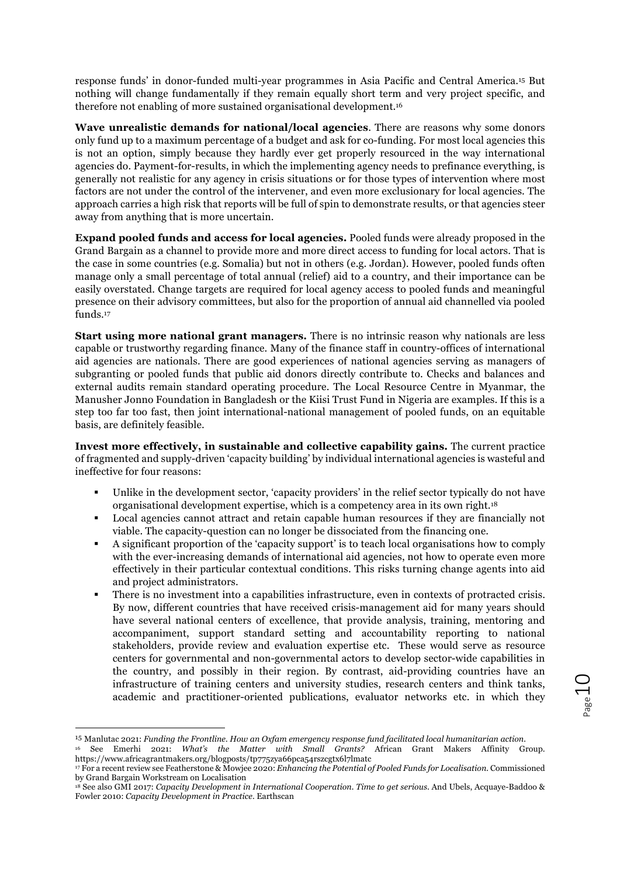response funds' in donor-funded multi-year programmes in Asia Pacific and Central America.15 But nothing will change fundamentally if they remain equally short term and very project specific, and therefore not enabling of more sustained organisational development.16

**Wave unrealistic demands for national/local agencies**. There are reasons why some donors only fund up to a maximum percentage of a budget and ask for co-funding. For most local agencies this is not an option, simply because they hardly ever get properly resourced in the way international agencies do. Payment-for-results, in which the implementing agency needs to prefinance everything, is generally not realistic for any agency in crisis situations or for those types of intervention where most factors are not under the control of the intervener, and even more exclusionary for local agencies. The approach carries a high risk that reports will be full of spin to demonstrate results, or that agencies steer away from anything that is more uncertain.

**Expand pooled funds and access for local agencies.** Pooled funds were already proposed in the Grand Bargain as a channel to provide more and more direct access to funding for local actors. That is the case in some countries (e.g. Somalia) but not in others (e.g. Jordan). However, pooled funds often manage only a small percentage of total annual (relief) aid to a country, and their importance can be easily overstated. Change targets are required for local agency access to pooled funds and meaningful presence on their advisory committees, but also for the proportion of annual aid channelled via pooled funds.17

**Start using more national grant managers.** There is no intrinsic reason why nationals are less capable or trustworthy regarding finance. Many of the finance staff in country-offices of international aid agencies are nationals. There are good experiences of national agencies serving as managers of subgranting or pooled funds that public aid donors directly contribute to. Checks and balances and external audits remain standard operating procedure. The Local Resource Centre in Myanmar, the Manusher Jonno Foundation in Bangladesh or the Kiisi Trust Fund in Nigeria are examples. If this is a step too far too fast, then joint international-national management of pooled funds, on an equitable basis, are definitely feasible.

**Invest more effectively, in sustainable and collective capability gains.** The current practice of fragmented and supply-driven 'capacity building' by individual international agencies is wasteful and ineffective for four reasons:

- Unlike in the development sector, 'capacity providers' in the relief sector typically do not have organisational development expertise, which is a competency area in its own right.18
- § Local agencies cannot attract and retain capable human resources if they are financially not viable. The capacity-question can no longer be dissociated from the financing one.
- § A significant proportion of the 'capacity support' is to teach local organisations how to comply with the ever-increasing demands of international aid agencies, not how to operate even more effectively in their particular contextual conditions. This risks turning change agents into aid and project administrators.
- There is no investment into a capabilities infrastructure, even in contexts of protracted crisis. By now, different countries that have received crisis-management aid for many years should have several national centers of excellence, that provide analysis, training, mentoring and accompaniment, support standard setting and accountability reporting to national stakeholders, provide review and evaluation expertise etc. These would serve as resource centers for governmental and non-governmental actors to develop sector-wide capabilities in the country, and possibly in their region. By contrast, aid-providing countries have an infrastructure of training centers and university studies, research centers and think tanks, academic and practitioner-oriented publications, evaluator networks etc. in which they

 <sup>15</sup> Manlutac 2021: *Funding the Frontline. How an Oxfam emergency response fund facilitated local humanitarian action.* 

<sup>16</sup> See Emerhi 2021: *What's the Matter with Small Grants?* African Grant Makers Affinity Group. https://www.africagrantmakers.org/blogposts/tp775zya66pca54rszcgtx6l7lmatc

<sup>17</sup> For a recent review see Featherstone & Mowjee 2020: *Enhancing the Potential of Pooled Funds for Localisation.* Commissioned by Grand Bargain Workstream on Localisation

<sup>18</sup> See also GMI 2017: *Capacity Development in International Cooperation. Time to get serious*. And Ubels, Acquaye-Baddoo & Fowler 2010: *Capacity Development in Practice*. Earthscan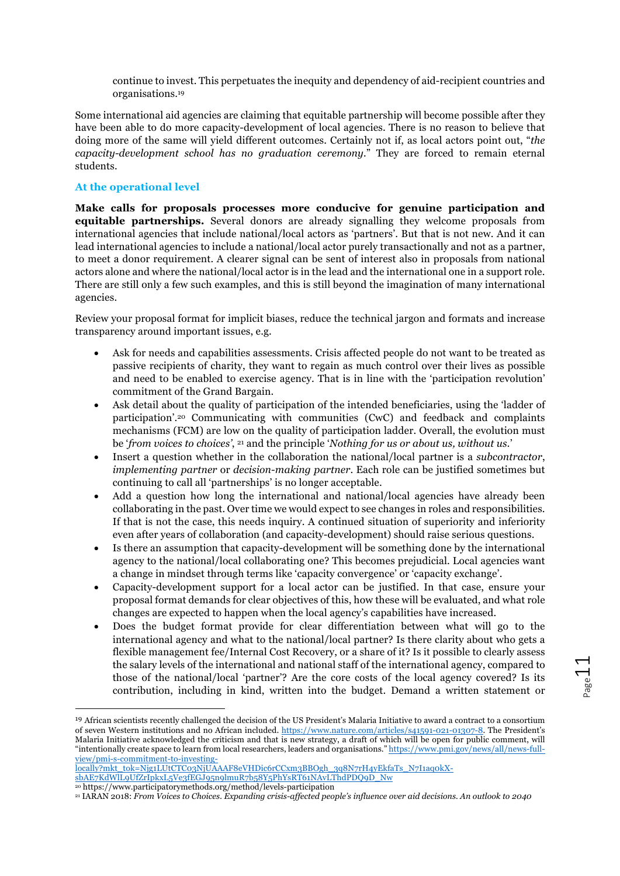continue to invest. This perpetuates the inequity and dependency of aid-recipient countries and organisations.19

Some international aid agencies are claiming that equitable partnership will become possible after they have been able to do more capacity-development of local agencies. There is no reason to believe that doing more of the same will yield different outcomes. Certainly not if, as local actors point out, "*the capacity-development school has no graduation ceremony.*" They are forced to remain eternal students.

# **At the operational level**

**Make calls for proposals processes more conducive for genuine participation and equitable partnerships.** Several donors are already signalling they welcome proposals from international agencies that include national/local actors as 'partners'. But that is not new. And it can lead international agencies to include a national/local actor purely transactionally and not as a partner, to meet a donor requirement. A clearer signal can be sent of interest also in proposals from national actors alone and where the national/local actor is in the lead and the international one in a support role. There are still only a few such examples, and this is still beyond the imagination of many international agencies.

Review your proposal format for implicit biases, reduce the technical jargon and formats and increase transparency around important issues, e.g.

- Ask for needs and capabilities assessments. Crisis affected people do not want to be treated as passive recipients of charity, they want to regain as much control over their lives as possible and need to be enabled to exercise agency. That is in line with the 'participation revolution' commitment of the Grand Bargain.
- Ask detail about the quality of participation of the intended beneficiaries, using the 'ladder of participation'.20 Communicating with communities (CwC) and feedback and complaints mechanisms (FCM) are low on the quality of participation ladder. Overall, the evolution must be '*from voices to choices'*, 21 and the principle '*Nothing for us or about us, without us.*'
- Insert a question whether in the collaboration the national/local partner is a *subcontractor*, *implementing partner* or *decision-making partner*. Each role can be justified sometimes but continuing to call all 'partnerships' is no longer acceptable.
- Add a question how long the international and national/local agencies have already been collaborating in the past. Over time we would expect to see changes in roles and responsibilities. If that is not the case, this needs inquiry. A continued situation of superiority and inferiority even after years of collaboration (and capacity-development) should raise serious questions.
- Is there an assumption that capacity-development will be something done by the international agency to the national/local collaborating one? This becomes prejudicial. Local agencies want a change in mindset through terms like 'capacity convergence' or 'capacity exchange'.
- Capacity-development support for a local actor can be justified. In that case, ensure your proposal format demands for clear objectives of this, how these will be evaluated, and what role changes are expected to happen when the local agency's capabilities have increased.
- Does the budget format provide for clear differentiation between what will go to the international agency and what to the national/local partner? Is there clarity about who gets a flexible management fee/Internal Cost Recovery, or a share of it? Is it possible to clearly assess the salary levels of the international and national staff of the international agency, compared to those of the national/local 'partner'? Are the core costs of the local agency covered? Is its contribution, including in kind, written into the budget. Demand a written statement or

 <sup>19</sup> African scientists recently challenged the decision of the US President's Malaria Initiative to award a contract to a consortium of seven Western institutions and no African included. https://www.nature.com/articles/s41591-021-01307-8. The President's Malaria Initiative acknowledged the criticism and that is new strategy, a draft of which will be open for public comment, will "intentionally create space to learn from local researchers, leaders and organisations." https://www.pmi.gov/news/all/news-fullview/pmi-s-commitment-to-investing-

<sup>21</sup> IARAN 2018: *From Voices to Choices. Expanding crisis-affected people's influence over aid decisions. An outlook to 2040*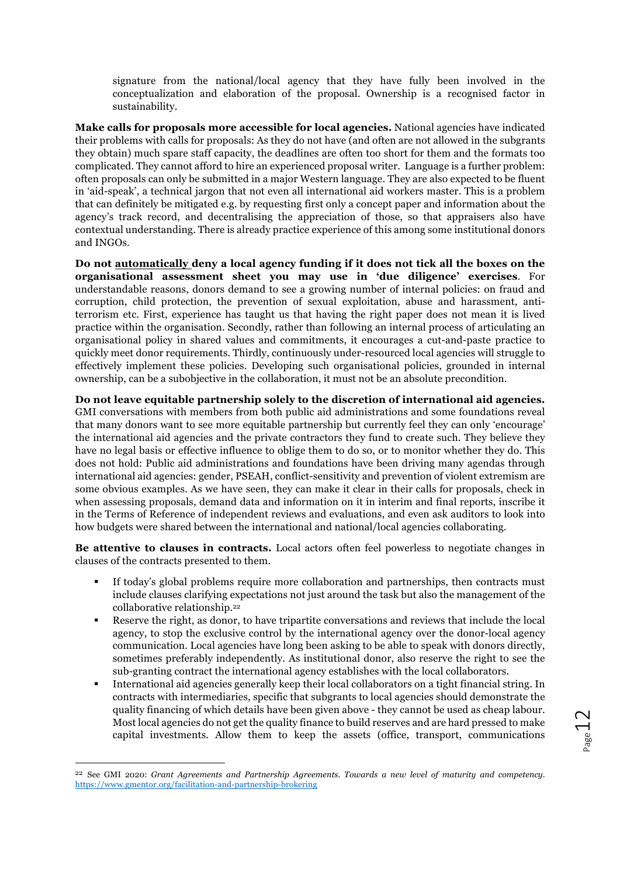signature from the national/local agency that they have fully been involved in the conceptualization and elaboration of the proposal. Ownership is a recognised factor in sustainability.

**Make calls for proposals more accessible for local agencies.** National agencies have indicated their problems with calls for proposals: As they do not have (and often are not allowed in the subgrants they obtain) much spare staff capacity, the deadlines are often too short for them and the formats too complicated. They cannot afford to hire an experienced proposal writer. Language is a further problem: often proposals can only be submitted in a major Western language. They are also expected to be fluent in 'aid-speak', a technical jargon that not even all international aid workers master. This is a problem that can definitely be mitigated e.g. by requesting first only a concept paper and information about the agency's track record, and decentralising the appreciation of those, so that appraisers also have contextual understanding. There is already practice experience of this among some institutional donors and INGOs.

**Do not automatically deny a local agency funding if it does not tick all the boxes on the organisational assessment sheet you may use in 'due diligence' exercises**. For understandable reasons, donors demand to see a growing number of internal policies: on fraud and corruption, child protection, the prevention of sexual exploitation, abuse and harassment, antiterrorism etc. First, experience has taught us that having the right paper does not mean it is lived practice within the organisation. Secondly, rather than following an internal process of articulating an organisational policy in shared values and commitments, it encourages a cut-and-paste practice to quickly meet donor requirements. Thirdly, continuously under-resourced local agencies will struggle to effectively implement these policies. Developing such organisational policies, grounded in internal ownership, can be a subobjective in the collaboration, it must not be an absolute precondition.

**Do not leave equitable partnership solely to the discretion of international aid agencies.** GMI conversations with members from both public aid administrations and some foundations reveal that many donors want to see more equitable partnership but currently feel they can only 'encourage' the international aid agencies and the private contractors they fund to create such. They believe they have no legal basis or effective influence to oblige them to do so, or to monitor whether they do. This does not hold: Public aid administrations and foundations have been driving many agendas through international aid agencies: gender, PSEAH, conflict-sensitivity and prevention of violent extremism are some obvious examples. As we have seen, they can make it clear in their calls for proposals, check in when assessing proposals, demand data and information on it in interim and final reports, inscribe it in the Terms of Reference of independent reviews and evaluations, and even ask auditors to look into how budgets were shared between the international and national/local agencies collaborating.

**Be attentive to clauses in contracts.** Local actors often feel powerless to negotiate changes in clauses of the contracts presented to them.

- If today's global problems require more collaboration and partnerships, then contracts must include clauses clarifying expectations not just around the task but also the management of the collaborative relationship.22
- § Reserve the right, as donor, to have tripartite conversations and reviews that include the local agency, to stop the exclusive control by the international agency over the donor-local agency communication. Local agencies have long been asking to be able to speak with donors directly, sometimes preferably independently. As institutional donor, also reserve the right to see the sub-granting contract the international agency establishes with the local collaborators.
- § International aid agencies generally keep their local collaborators on a tight financial string. In contracts with intermediaries, specific that subgrants to local agencies should demonstrate the quality financing of which details have been given above - they cannot be used as cheap labour. Most local agencies do not get the quality finance to build reserves and are hard pressed to make capital investments. Allow them to keep the assets (office, transport, communications

 <sup>22</sup> See GMI 2020: *Grant Agreements and Partnership Agreements. Towards a new level of maturity and competency*. https://www.gmentor.org/facilitation-and-partnership-brokering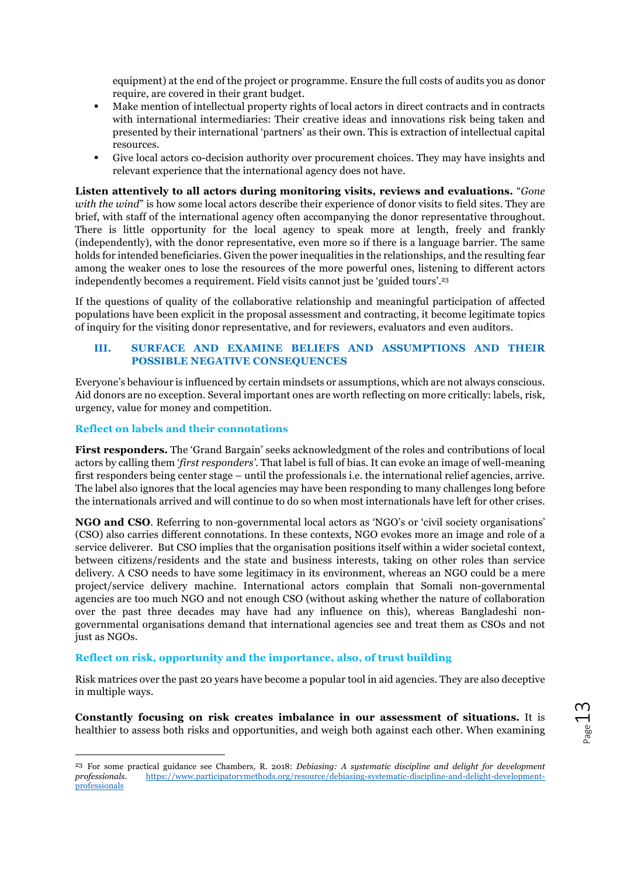equipment) at the end of the project or programme. Ensure the full costs of audits you as donor require, are covered in their grant budget.

- § Make mention of intellectual property rights of local actors in direct contracts and in contracts with international intermediaries: Their creative ideas and innovations risk being taken and presented by their international 'partners' as their own. This is extraction of intellectual capital resources.
- Give local actors co-decision authority over procurement choices. They may have insights and relevant experience that the international agency does not have.

**Listen attentively to all actors during monitoring visits, reviews and evaluations.** "*Gone with the wind*" is how some local actors describe their experience of donor visits to field sites. They are brief, with staff of the international agency often accompanying the donor representative throughout. There is little opportunity for the local agency to speak more at length, freely and frankly (independently), with the donor representative, even more so if there is a language barrier. The same holds for intended beneficiaries. Given the power inequalities in the relationships, and the resulting fear among the weaker ones to lose the resources of the more powerful ones, listening to different actors independently becomes a requirement. Field visits cannot just be 'guided tours'.23

If the questions of quality of the collaborative relationship and meaningful participation of affected populations have been explicit in the proposal assessment and contracting, it become legitimate topics of inquiry for the visiting donor representative, and for reviewers, evaluators and even auditors.

### **III. SURFACE AND EXAMINE BELIEFS AND ASSUMPTIONS AND THEIR POSSIBLE NEGATIVE CONSEQUENCES**

Everyone's behaviour is influenced by certain mindsets or assumptions, which are not always conscious. Aid donors are no exception. Several important ones are worth reflecting on more critically: labels, risk, urgency, value for money and competition.

### **Reflect on labels and their connotations**

**First responders.** The 'Grand Bargain' seeks acknowledgment of the roles and contributions of local actors by calling them '*first responders'*. That label is full of bias. It can evoke an image of well-meaning first responders being center stage – until the professionals i.e. the international relief agencies, arrive. The label also ignores that the local agencies may have been responding to many challenges long before the internationals arrived and will continue to do so when most internationals have left for other crises.

**NGO and CSO**. Referring to non-governmental local actors as 'NGO's or 'civil society organisations' (CSO) also carries different connotations. In these contexts, NGO evokes more an image and role of a service deliverer. But CSO implies that the organisation positions itself within a wider societal context, between citizens/residents and the state and business interests, taking on other roles than service delivery. A CSO needs to have some legitimacy in its environment, whereas an NGO could be a mere project/service delivery machine. International actors complain that Somali non-governmental agencies are too much NGO and not enough CSO (without asking whether the nature of collaboration over the past three decades may have had any influence on this), whereas Bangladeshi nongovernmental organisations demand that international agencies see and treat them as CSOs and not just as NGOs.

### **Reflect on risk, opportunity and the importance, also, of trust building**

Risk matrices over the past 20 years have become a popular tool in aid agencies. They are also deceptive in multiple ways.

**Constantly focusing on risk creates imbalance in our assessment of situations.** It is healthier to assess both risks and opportunities, and weigh both against each other. When examining

<sup>&</sup>lt;sup>23</sup> For some practical guidance see Chambers, R. 2018: *Debiasing: A systematic discipline and delight for development* professionals. https://www.participatorymethods.org/resource/debiasing-systematic-discipline-and-deli *professionals.* https://www.participatorymethods.org/resource/debiasing-systematic-discipline-and-delight-developmentprofessionals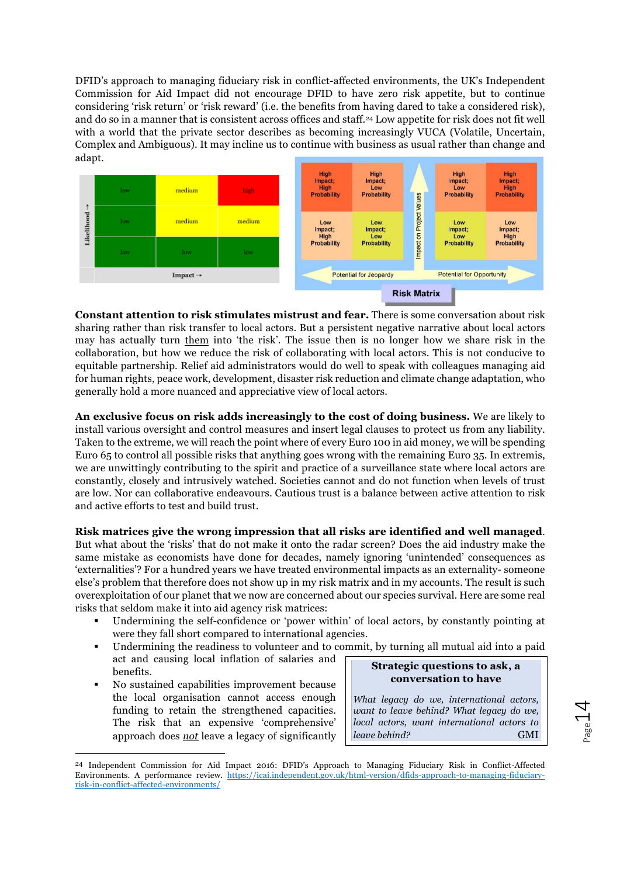DFID's approach to managing fiduciary risk in conflict-affected environments, the UK's Independent Commission for Aid Impact did not encourage DFID to have zero risk appetite, but to continue considering 'risk return' or 'risk reward' (i.e. the benefits from having dared to take a considered risk), and do so in a manner that is consistent across offices and staff.24 Low appetite for risk does not fit well with a world that the private sector describes as becoming increasingly VUCA (Volatile, Uncertain, Complex and Ambiguous). It may incline us to continue with business as usual rather than change and adapt.



**Constant attention to risk stimulates mistrust and fear.** There is some conversation about risk sharing rather than risk transfer to local actors. But a persistent negative narrative about local actors may has actually turn them into 'the risk'. The issue then is no longer how we share risk in the collaboration, but how we reduce the risk of collaborating with local actors. This is not conducive to equitable partnership. Relief aid administrators would do well to speak with colleagues managing aid for human rights, peace work, development, disaster risk reduction and climate change adaptation, who generally hold a more nuanced and appreciative view of local actors.

**An exclusive focus on risk adds increasingly to the cost of doing business.** We are likely to install various oversight and control measures and insert legal clauses to protect us from any liability. Taken to the extreme, we will reach the point where of every Euro 100 in aid money, we will be spending Euro 65 to control all possible risks that anything goes wrong with the remaining Euro 35. In extremis, we are unwittingly contributing to the spirit and practice of a surveillance state where local actors are constantly, closely and intrusively watched. Societies cannot and do not function when levels of trust are low. Nor can collaborative endeavours. Cautious trust is a balance between active attention to risk and active efforts to test and build trust.

**Risk matrices give the wrong impression that all risks are identified and well managed**. But what about the 'risks' that do not make it onto the radar screen? Does the aid industry make the same mistake as economists have done for decades, namely ignoring 'unintended' consequences as 'externalities'? For a hundred years we have treated environmental impacts as an externality- someone else's problem that therefore does not show up in my risk matrix and in my accounts. The result is such overexploitation of our planet that we now are concerned about our species survival. Here are some real risks that seldom make it into aid agency risk matrices:

- Undermining the self-confidence or 'power within' of local actors, by constantly pointing at were they fall short compared to international agencies.
- § Undermining the readiness to volunteer and to commit, by turning all mutual aid into a paid act and causing local inflation of salaries and benefits. **Strategic questions to ask, a**
- § No sustained capabilities improvement because the local organisation cannot access enough funding to retain the strengthened capacities. The risk that an expensive 'comprehensive' approach does *not* leave a legacy of significantly

**conversation to have**

*What legacy do we, international actors, want to leave behind? What legacy do we, local actors, want international actors to leave behind?* GMI

 <sup>24</sup> Independent Commission for Aid Impact 2016: DFID's Approach to Managing Fiduciary Risk in Conflict-Affected Environments. A performance review. https://icai.independent.gov.uk/html-version/dfids-approach-to-managing-fiduciaryrisk-in-conflict-affected-environments/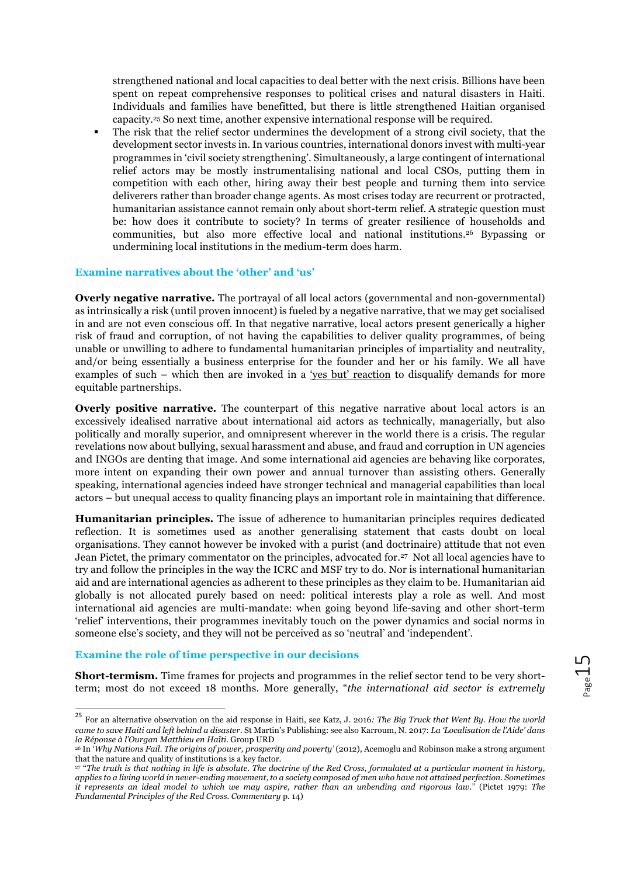strengthened national and local capacities to deal better with the next crisis. Billions have been spent on repeat comprehensive responses to political crises and natural disasters in Haiti. Individuals and families have benefitted, but there is little strengthened Haitian organised capacity.25 So next time, another expensive international response will be required.

§ The risk that the relief sector undermines the development of a strong civil society, that the development sector invests in. In various countries, international donors invest with multi-year programmes in 'civil society strengthening'. Simultaneously, a large contingent of international relief actors may be mostly instrumentalising national and local CSOs, putting them in competition with each other, hiring away their best people and turning them into service deliverers rather than broader change agents. As most crises today are recurrent or protracted, humanitarian assistance cannot remain only about short-term relief. A strategic question must be: how does it contribute to society? In terms of greater resilience of households and communities, but also more effective local and national institutions.26 Bypassing or undermining local institutions in the medium-term does harm.

### **Examine narratives about the 'other' and 'us'**

**Overly negative narrative.** The portrayal of all local actors (governmental and non-governmental) as intrinsically a risk (until proven innocent) is fueled by a negative narrative, that we may get socialised in and are not even conscious off. In that negative narrative, local actors present generically a higher risk of fraud and corruption, of not having the capabilities to deliver quality programmes, of being unable or unwilling to adhere to fundamental humanitarian principles of impartiality and neutrality, and/or being essentially a business enterprise for the founder and her or his family. We all have examples of such – which then are invoked in a 'yes but' reaction to disqualify demands for more equitable partnerships.

**Overly positive narrative.** The counterpart of this negative narrative about local actors is an excessively idealised narrative about international aid actors as technically, managerially, but also politically and morally superior, and omnipresent wherever in the world there is a crisis. The regular revelations now about bullying, sexual harassment and abuse, and fraud and corruption in UN agencies and INGOs are denting that image. And some international aid agencies are behaving like corporates, more intent on expanding their own power and annual turnover than assisting others. Generally speaking, international agencies indeed have stronger technical and managerial capabilities than local actors – but unequal access to quality financing plays an important role in maintaining that difference.

**Humanitarian principles.** The issue of adherence to humanitarian principles requires dedicated reflection. It is sometimes used as another generalising statement that casts doubt on local organisations. They cannot however be invoked with a purist (and doctrinaire) attitude that not even Jean Pictet, the primary commentator on the principles, advocated for.27 Not all local agencies have to try and follow the principles in the way the ICRC and MSF try to do. Nor is international humanitarian aid and are international agencies as adherent to these principles as they claim to be. Humanitarian aid globally is not allocated purely based on need: political interests play a role as well. And most international aid agencies are multi-mandate: when going beyond life-saving and other short-term 'relief' interventions, their programmes inevitably touch on the power dynamics and social norms in someone else's society, and they will not be perceived as so 'neutral' and 'independent'.

#### **Examine the role of time perspective in our decisions**

**Short-termism.** Time frames for projects and programmes in the relief sector tend to be very shortterm; most do not exceed 18 months. More generally, "*the international aid sector is extremely* 

<sup>25</sup> For an alternative observation on the aid response in Haiti, see Katz, J. 2016*: The Big Truck that Went By. How the world came to save Haiti and left behind a disaster*. St Martin's Publishing: see also Karroum, N. 2017: *La 'Localisation de l'Aide' dans la Réponse à l'Ourgan Matthieu en Haïti*. Group URD

<sup>26</sup> In '*Why Nations Fail. The origins of power, prosperity and poverty'* (2012), Acemoglu and Robinson make a strong argument that the nature and quality of institutions is a key factor.

<sup>27</sup> "*The truth is that nothing in life is absolute. The doctrine of the Red Cross, formulated at a particular moment in history, applies to a living world in never-ending movement, to a society composed of men who have not attained perfection. Sometimes it represents an ideal model to which we may aspire, rather than an unbending and rigorous law.*" (Pictet 1979: *The Fundamental Principles of the Red Cross. Commentary* p. 14)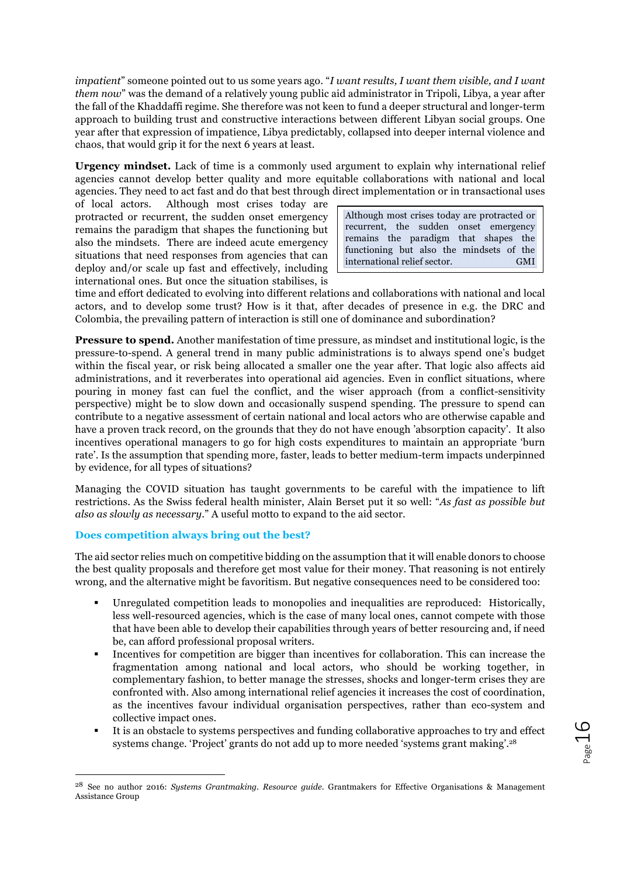*impatient*" someone pointed out to us some years ago. "*I want results, I want them visible, and I want them now*" was the demand of a relatively young public aid administrator in Tripoli, Libya, a year after the fall of the Khaddaffi regime. She therefore was not keen to fund a deeper structural and longer-term approach to building trust and constructive interactions between different Libyan social groups. One year after that expression of impatience, Libya predictably, collapsed into deeper internal violence and chaos, that would grip it for the next 6 years at least.

**Urgency mindset.** Lack of time is a commonly used argument to explain why international relief agencies cannot develop better quality and more equitable collaborations with national and local agencies. They need to act fast and do that best through direct implementation or in transactional uses

of local actors. Although most crises today are protracted or recurrent, the sudden onset emergency remains the paradigm that shapes the functioning but also the mindsets. There are indeed acute emergency situations that need responses from agencies that can deploy and/or scale up fast and effectively, including international ones. But once the situation stabilises, is

Although most crises today are protracted or recurrent, the sudden onset emergency remains the paradigm that shapes the functioning but also the mindsets of the international relief sector. GMI

time and effort dedicated to evolving into different relations and collaborations with national and local actors, and to develop some trust? How is it that, after decades of presence in e.g. the DRC and Colombia, the prevailing pattern of interaction is still one of dominance and subordination?

**Pressure to spend.** Another manifestation of time pressure, as mindset and institutional logic, is the pressure-to-spend. A general trend in many public administrations is to always spend one's budget within the fiscal year, or risk being allocated a smaller one the year after. That logic also affects aid administrations, and it reverberates into operational aid agencies. Even in conflict situations, where pouring in money fast can fuel the conflict, and the wiser approach (from a conflict-sensitivity perspective) might be to slow down and occasionally suspend spending. The pressure to spend can contribute to a negative assessment of certain national and local actors who are otherwise capable and have a proven track record, on the grounds that they do not have enough 'absorption capacity'. It also incentives operational managers to go for high costs expenditures to maintain an appropriate 'burn rate'. Is the assumption that spending more, faster, leads to better medium-term impacts underpinned by evidence, for all types of situations?

Managing the COVID situation has taught governments to be careful with the impatience to lift restrictions. As the Swiss federal health minister, Alain Berset put it so well: "*As fast as possible but also as slowly as necessary*." A useful motto to expand to the aid sector.

# **Does competition always bring out the best?**

The aid sector relies much on competitive bidding on the assumption that it will enable donors to choose the best quality proposals and therefore get most value for their money. That reasoning is not entirely wrong, and the alternative might be favoritism. But negative consequences need to be considered too:

- § Unregulated competition leads to monopolies and inequalities are reproduced: Historically, less well-resourced agencies, which is the case of many local ones, cannot compete with those that have been able to develop their capabilities through years of better resourcing and, if need be, can afford professional proposal writers.
- § Incentives for competition are bigger than incentives for collaboration. This can increase the fragmentation among national and local actors, who should be working together, in complementary fashion, to better manage the stresses, shocks and longer-term crises they are confronted with. Also among international relief agencies it increases the cost of coordination, as the incentives favour individual organisation perspectives, rather than eco-system and collective impact ones.
- § It is an obstacle to systems perspectives and funding collaborative approaches to try and effect systems change. 'Project' grants do not add up to more needed 'systems grant making'.28

 <sup>28</sup> See no author 2016: *Systems Grantmaking. Resource guide*. Grantmakers for Effective Organisations & Management Assistance Group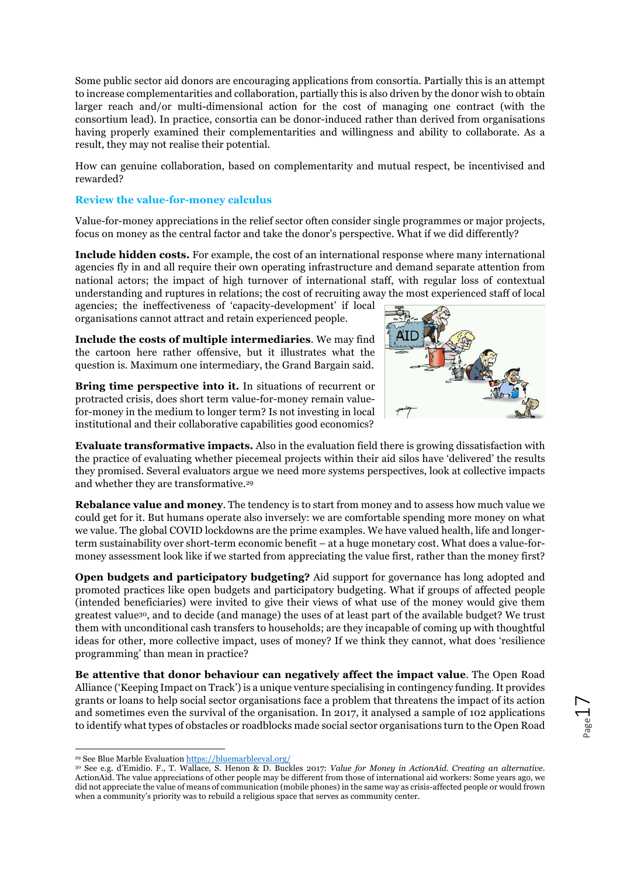Some public sector aid donors are encouraging applications from consortia. Partially this is an attempt to increase complementarities and collaboration, partially this is also driven by the donor wish to obtain larger reach and/or multi-dimensional action for the cost of managing one contract (with the consortium lead). In practice, consortia can be donor-induced rather than derived from organisations having properly examined their complementarities and willingness and ability to collaborate. As a result, they may not realise their potential.

How can genuine collaboration, based on complementarity and mutual respect, be incentivised and rewarded?

### **Review the value-for-money calculus**

Value-for-money appreciations in the relief sector often consider single programmes or major projects, focus on money as the central factor and take the donor's perspective. What if we did differently?

**Include hidden costs.** For example, the cost of an international response where many international agencies fly in and all require their own operating infrastructure and demand separate attention from national actors; the impact of high turnover of international staff, with regular loss of contextual understanding and ruptures in relations; the cost of recruiting away the most experienced staff of local

agencies; the ineffectiveness of 'capacity-development' if local organisations cannot attract and retain experienced people.



**Include the costs of multiple intermediaries**. We may find the cartoon here rather offensive, but it illustrates what the question is. Maximum one intermediary, the Grand Bargain said.

**Bring time perspective into it.** In situations of recurrent or protracted crisis, does short term value-for-money remain value-

for-money in the medium to longer term? Is not investing in local institutional and their collaborative capabilities good economics? **Evaluate transformative impacts.** Also in the evaluation field there is growing dissatisfaction with the practice of evaluating whether piecemeal projects within their aid silos have 'delivered' the results they promised. Several evaluators argue we need more systems perspectives, look at collective impacts

and whether they are transformative.29

**Rebalance value and money**. The tendency is to start from money and to assess how much value we could get for it. But humans operate also inversely: we are comfortable spending more money on what we value. The global COVID lockdowns are the prime examples. We have valued health, life and longerterm sustainability over short-term economic benefit – at a huge monetary cost. What does a value-formoney assessment look like if we started from appreciating the value first, rather than the money first?

**Open budgets and participatory budgeting?** Aid support for governance has long adopted and promoted practices like open budgets and participatory budgeting. What if groups of affected people (intended beneficiaries) were invited to give their views of what use of the money would give them greatest value30, and to decide (and manage) the uses of at least part of the available budget? We trust them with unconditional cash transfers to households; are they incapable of coming up with thoughtful ideas for other, more collective impact, uses of money? If we think they cannot, what does 'resilience programming' than mean in practice?

**Be attentive that donor behaviour can negatively affect the impact value**. The Open Road Alliance ('Keeping Impact on Track') is a unique venture specialising in contingency funding. It provides grants or loans to help social sector organisations face a problem that threatens the impact of its action and sometimes even the survival of the organisation. In 2017, it analysed a sample of 102 applications to identify what types of obstacles or roadblocks made social sector organisations turn to the Open Road

 <sup>29</sup> See Blue Marble Evaluation https://bluemarbleeval.org/

<sup>30</sup> See e.g. d'Emidio. F., T. Wallace, S. Henon & D. Buckles 2017: *Value for Money in ActionAid. Creating an alternative*. ActionAid. The value appreciations of other people may be different from those of international aid workers: Some years ago, we did not appreciate the value of means of communication (mobile phones) in the same way as crisis-affected people or would frown when a community's priority was to rebuild a religious space that serves as community center.